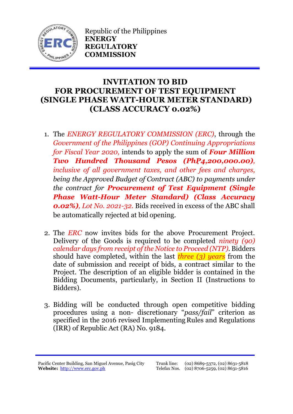

Republic of the Philippines **ENERGY REGULATORY COMMISSION**

## **INVITATION TO BID FOR PROCUREMENT OF TEST EQUIPMENT (SINGLE PHASE WATT-HOUR METER STANDARD) (CLASS ACCURACY 0.02%)**

- 1. The *ENERGY REGULATORY COMMISSION (ERC)*, through the *Government of the Philippines (GOP) Continuing Appropriations for Fiscal Year 2020,* intends to apply the sum of *Four Million Two Hundred Thousand Pesos (PhP4,200,000.00), inclusive of all government taxes, and other fees and charges, being the Approved Budget of Contract (ABC) to payments under the contract for Procurement of Test Equipment (Single Phase Watt-Hour Meter Standard) (Class Accuracy 0.02%), Lot No. 2021-32.* Bids received in excess of the ABC shall be automatically rejected at bid opening.
- 2. The *ERC* now invites bids for the above Procurement Project. Delivery of the Goods is required to be completed *ninety (90) calendar days from receipt of the Notice to Proceed (NTP).* Bidders should have completed, within the last *three (3) years* from the date of submission and receipt of bids, a contract similar to the Project. The description of an eligible bidder is contained in the Bidding Documents, particularly, in Section II (Instructions to Bidders).
- 3. Bidding will be conducted through open competitive bidding procedures using a non- discretionary "*pass/fail*" criterion as specified in the 2016 revised Implementing Rules and Regulations (IRR) of Republic Act (RA) No. 9184.

Pacific Center Building, San Miguel Avenue, Pasig City **Website:** [http://www.erc.gov.ph](http://www.erc.gov.ph/)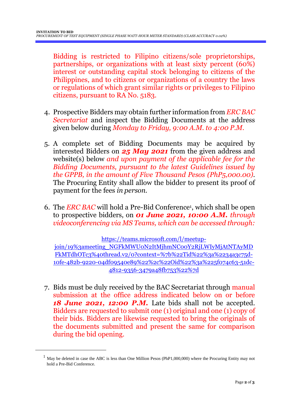Bidding is restricted to Filipino citizens/sole proprietorships, partnerships, or organizations with at least sixty percent (60%) interest or outstanding capital stock belonging to citizens of the Philippines, and to citizens or organizations of a country the laws or regulations of which grant similar rights or privileges to Filipino citizens, pursuant to RA No. 5183.

- 4. Prospective Bidders may obtain further information from *ERC BAC Secretariat* and inspect the Bidding Documents at the address given below during *Monday to Friday, 9:00 A.M. to 4:00 P.M*.
- 5. A complete set of Bidding Documents may be acquired by interested Bidders on *25 May 2021* from the given address and website(s) below *and upon payment of the applicable fee for the Bidding Documents, pursuant to the latest Guidelines issued by the GPPB, in the amount of Five Thousand Pesos (PhP5,000.00)*. The Procuring Entity shall allow the bidder to present its proof of payment for the fees *in person.*
- 6. The *ERC BAC* will hold a Pre-Bid Conference<sup>1</sup> , which shall be open to prospective bidders, on *01 June 2021, 10:00 A.M. through videoconferencing via MS Teams, which can be accessed through:*

[https://teams.microsoft.com/l/meetup-](https://teams.microsoft.com/l/meetup-join/19%3ameeting_NGFkMWU0N2ItMjhmNC00Y2RjLWIyMjAtNTAyMDFkMTdhOTc3%40thread.v2/0?context=%7b%22Tid%22%3a%2234a3c75d-10fe-482b-9220-04df09540e89%22%2c%22Oid%22%3a%225f074c63-51dc-4812-9356-3479a48fb753%22%7d)

[join/19%3ameeting\\_NGFkMWU0N2ItMjhmNC00Y2RjLWIyMjAtNTAyMD](https://teams.microsoft.com/l/meetup-join/19%3ameeting_NGFkMWU0N2ItMjhmNC00Y2RjLWIyMjAtNTAyMDFkMTdhOTc3%40thread.v2/0?context=%7b%22Tid%22%3a%2234a3c75d-10fe-482b-9220-04df09540e89%22%2c%22Oid%22%3a%225f074c63-51dc-4812-9356-3479a48fb753%22%7d) [FkMTdhOTc3%40thread.v2/0?context=%7b%22Tid%22%3a%2234a3c75d-](https://teams.microsoft.com/l/meetup-join/19%3ameeting_NGFkMWU0N2ItMjhmNC00Y2RjLWIyMjAtNTAyMDFkMTdhOTc3%40thread.v2/0?context=%7b%22Tid%22%3a%2234a3c75d-10fe-482b-9220-04df09540e89%22%2c%22Oid%22%3a%225f074c63-51dc-4812-9356-3479a48fb753%22%7d)[10fe-482b-9220-04df09540e89%22%2c%22Oid%22%3a%225f074c63-51dc-](https://teams.microsoft.com/l/meetup-join/19%3ameeting_NGFkMWU0N2ItMjhmNC00Y2RjLWIyMjAtNTAyMDFkMTdhOTc3%40thread.v2/0?context=%7b%22Tid%22%3a%2234a3c75d-10fe-482b-9220-04df09540e89%22%2c%22Oid%22%3a%225f074c63-51dc-4812-9356-3479a48fb753%22%7d)[4812-9356-3479a48fb753%22%7d](https://teams.microsoft.com/l/meetup-join/19%3ameeting_NGFkMWU0N2ItMjhmNC00Y2RjLWIyMjAtNTAyMDFkMTdhOTc3%40thread.v2/0?context=%7b%22Tid%22%3a%2234a3c75d-10fe-482b-9220-04df09540e89%22%2c%22Oid%22%3a%225f074c63-51dc-4812-9356-3479a48fb753%22%7d)

7. Bids must be duly received by the BAC Secretariat through manual submission at the office address indicated below on or before *18 June 2021, 12:00 P.M.* Late bids shall not be accepted. Bidders are requested to submit one (1) original and one (1) copy of their bids. Bidders are likewise requested to bring the originals of the documents submitted and present the same for comparison during the bid opening.

<u>.</u>

<sup>&</sup>lt;sup>1</sup> May be deleted in case the ABC is less than One Million Pesos (PhP1,000,000) where the Procuring Entity may not hold a Pre-Bid Conference.